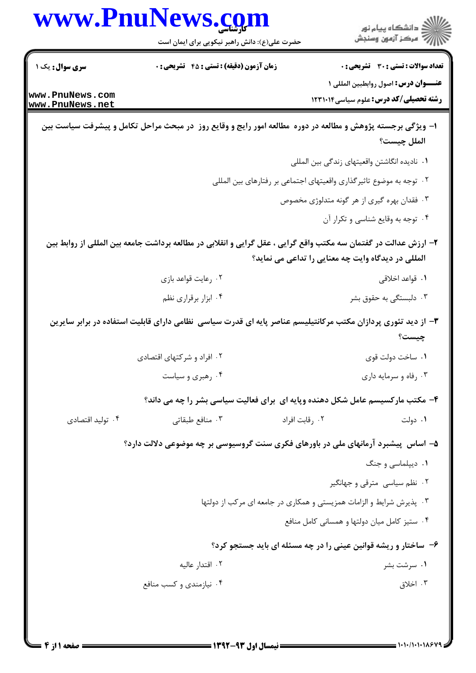|                                    | حضرت علی(ع): دانش راهبر نیکویی برای ایمان است                                                                   | ڪ دانشڪاه پيام نور<br>//> مرڪز آزمون وسنجش                                           |
|------------------------------------|-----------------------------------------------------------------------------------------------------------------|--------------------------------------------------------------------------------------|
| <b>سری سوال :</b> یک ۱             | <b>زمان آزمون (دقیقه) : تستی : 45 قشریحی : 0</b>                                                                | <b>تعداد سوالات : تستی : 30 - تشریحی : 0</b>                                         |
| www.PnuNews.com<br>www.PnuNews.net |                                                                                                                 | عنـــوان درس: اصول روابطبين المللي ١<br><b>رشته تحصیلی/کد درس:</b> علوم سیاسی1۲۳۱۰۱۴ |
|                                    |                                                                                                                 |                                                                                      |
|                                    | ا- ویژگی برجسته پژوهش و مطالعه در دوره ًمطالعه امور رایج و وقایع روز ً در مبحث مراحل تکامل و پیشرفت سیاست بین   | الملل چيست؟                                                                          |
|                                    |                                                                                                                 | ٠١. ناديده انگاشتن واقعيتهاى زندگى بين المللى                                        |
|                                    |                                                                                                                 | ۲.  توجه به موضوع تاثیرگذاری واقعیتهای اجتماعی بر رفتارهای بین المللی                |
|                                    |                                                                                                                 | ۰۳ فقدان بهره گیری از هر گونه متدلوژی مخصوص                                          |
|                                    |                                                                                                                 | ۰۴ توجه به وقایع شناسی و تکرار آن                                                    |
|                                    | ۲– ارزش عدالت در گفتمان سه مکتب واقع گرایی ، عقل گرایی و انقلابی در مطالعه برداشت جامعه بین المللی از روابط بین |                                                                                      |
|                                    |                                                                                                                 | المللی در دیدگاه وایت چه معنایی را تداعی می نماید؟                                   |
|                                    | ۰۲ رعایت قواعد بازی                                                                                             | ۰۱ قواعد اخلاقی                                                                      |
|                                    | ۰۴ ابزار برقراری نظم                                                                                            | ۰۳ دلبستگی به حقوق بشر                                                               |
|                                    | ۳- از دید تئوری پردازان مکتب مرکانتیلیسم عناصر پایه ای قدرت سیاسی نظامی دارای قابلیت استفاده در برابر سایرین    | چیست؟                                                                                |
|                                    | ۰۲ افراد و شرکتهای اقتصادی                                                                                      | ۰۱ ساخت دولت قوی                                                                     |
|                                    | ۰۴ رهبری و سیاست                                                                                                | ۰۳ رفاه و سرمایه داری                                                                |
|                                    | ۴- مکتب مارکسیسم عامل شکل دهنده وپایه ای برای فعالیت سیاسی بشر را چه می داند؟                                   |                                                                                      |
| ۰۴ تولید اقتصادی                   | ۰۳ منافع طبقاتی                                                                                                 | ۰۲ , قابت افراد<br>۰۱ دولت                                                           |
|                                    | ۵– اساس ِ پیشبرد آرمانهای ملی در باورهای فکری سنت گروسیوسی بر چه موضوعی دلالت دارد؟                             |                                                                                      |
|                                    |                                                                                                                 | ۰۱ دیپلماسی و جنگ                                                                    |
|                                    |                                                                                                                 | ۰۲ نظم سیاسی مترقی و جهانگیر                                                         |
|                                    |                                                                                                                 | ۰۳ پذیرش شرایط و الزامات همزیستی و همکاری در جامعه ای مرکب از دولتها                 |
|                                    |                                                                                                                 | ۰۴ ستیز کامل میان دولتها و همسانی کامل منافع                                         |
|                                    |                                                                                                                 | ۶- ساختار و ریشه قوانین عینی را در چه مسئله ای باید جستجو کرد؟                       |
|                                    | ۰۲ اقتدار عاليه                                                                                                 | ۰۱ سرشت بشر                                                                          |
|                                    | ۰۴ نیازمندی و کسب منافع                                                                                         | ۰۳ اخلاق                                                                             |

www.PnuNews.com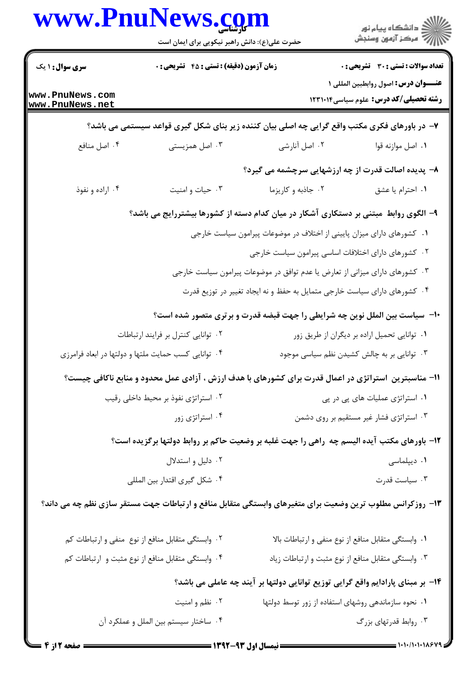| www.rnurews.com                    | حضرت علی(ع): دانش راهبر نیکویی برای ایمان است        |                                                                              | ≦ دانشڪاه پيام نور<br>7- مرڪز آزمون وسنڊش                                                                  |
|------------------------------------|------------------------------------------------------|------------------------------------------------------------------------------|------------------------------------------------------------------------------------------------------------|
| <b>سری سوال : ۱ یک</b>             | <b>زمان آزمون (دقیقه) : تستی : 45 قشریحی : 0</b>     |                                                                              | <b>تعداد سوالات : تستی : 30 ٪ تشریحی : 0</b>                                                               |
| www.PnuNews.com<br>www.PnuNews.net |                                                      |                                                                              | عنـــوان درس: اصول روابطبين المللي ١<br><b>رشته تحصیلی/کد درس:</b> علوم سیاسی۱۲۳۱۰۱۴                       |
|                                    |                                                      |                                                                              | ۷- در باورهای فکری مکتب واقع گرایی چه اصلی بیان کننده زیر بنای شکل گیری قواعد سیستمی می باشد؟              |
| ۰۴ اصل منافع                       | ۰۳ اصل همزیستی                                       | ۰۲ اصل آنارشی                                                                | ٠١. اصل موازنه قوا                                                                                         |
|                                    |                                                      |                                                                              | ۸− پدیده اصالت قدرت از چه ارزشهایی سرچشمه می گیرد؟                                                         |
| ۰۴ اراده و نفوذ                    | ۰۳ حیات و امنیت                                      | ۰۲ جاذبه و کاریزما                                                           | ٠١ احترام يا عشق                                                                                           |
|                                    |                                                      |                                                                              | ۹– الگوی روابط مبتنی بر دستکاری آشکار در میان کدام دسته از کشورها بیشتررایج می باشد؟                       |
|                                    |                                                      | ۰۱ کشورهای دارای میزان پایینی از اختلاف در موضوعات پیرامون سیاست خارجی       |                                                                                                            |
|                                    |                                                      |                                                                              | ۰۲ کشورهای دارای اختلافات اساسی پیرامون سیاست خارجی                                                        |
|                                    |                                                      | ۰۳ کشورهای دارای میزانی از تعارض یا عدم توافق در موضوعات پیرامون سیاست خارجی |                                                                                                            |
|                                    |                                                      | ۰۴ کشورهای دارای سیاست خارجی متمایل به حفظ و نه ایجاد تغییر در توزیع قدرت    |                                                                                                            |
|                                    |                                                      |                                                                              | <b>۱۰</b> – سیاست بین الملل نوین چه شرایطی را جهت قبضه قدرت و برتری متصور شده است؟                         |
|                                    | ۰۲ توانایی کنترل بر فرایند ارتباطات                  |                                                                              | ۰۱ توانایی تحمیل اراده بر دیگران از طریق زور                                                               |
|                                    | ۰۴ توانایی کسب حمایت ملتها و دولتها در ابعاد فرامرزی |                                                                              | ۰۳ توانایی بر به چالش کشیدن نظم سیاسی موجود                                                                |
|                                    |                                                      |                                                                              | 11- مناسبترین استراتژی در اعمال قدرت برای کشورهای با هدف ارزش ، آزادی عمل محدود و منابع ناکافی چیست؟       |
|                                    | ۰۲ استراتژی نفوذ بر محیط داخلی رقیب                  |                                                                              | ۰۱ استراتژی عملیات های پی در پی                                                                            |
|                                    | ۰۴ استراتژی زور                                      |                                                                              | ۰۳ استراتژی فشار غیر مستقیم بر روی دشمن                                                                    |
|                                    |                                                      |                                                                              | ۱۲- باورهای مکتب آیده الیسم چه راهی را جهت غلبه بر وضعیت حاکم بر روابط دولتها برگزیده است؟                 |
|                                    | ۰۲ دلیل و استدلال                                    |                                                                              | ۰۱ دیپلماسی                                                                                                |
|                                    | ۰۴ شکل گیری اقتدار بین المللی                        |                                                                              | ۰۳ سیاست قدرت                                                                                              |
|                                    |                                                      |                                                                              | ۱۳- روزکرانس مطلوب ترین وضعیت برای متغیرهای وابستگی متقابل منافع و ارتباطات جهت مستقر سازی نظم چه می داند؟ |
|                                    | ٠٢ وابستگي متقابل منافع از نوع منفي و ارتباطات كم    |                                                                              | ٠١ وابستكي متقابل منافع از نوع منفي و ارتباطات بالا                                                        |
|                                    | ۰۴ وابستگی متقابل منافع از نوع مثبت و ارتباطات کم    |                                                                              | ۰۳ وابستگی متقابل منافع از نوع مثبت و ارتباطات زیاد                                                        |
|                                    |                                                      |                                                                              | ۱۴– بر مبنای پارادایم واقع گرایی توزیع توانایی دولتها بر آیند چه عاملی می باشد؟                            |
|                                    | ۰۲ نظم و امنيت                                       |                                                                              | ٠١ نحوه سازماندهي روشهاى استفاده از زور توسط دولتها                                                        |
|                                    | ۰۴ ساختار سیستم بین الملل و عملکرد آن                |                                                                              | ۰۳ روابط قدرتهای بزرگ                                                                                      |
|                                    |                                                      |                                                                              |                                                                                                            |

**TY**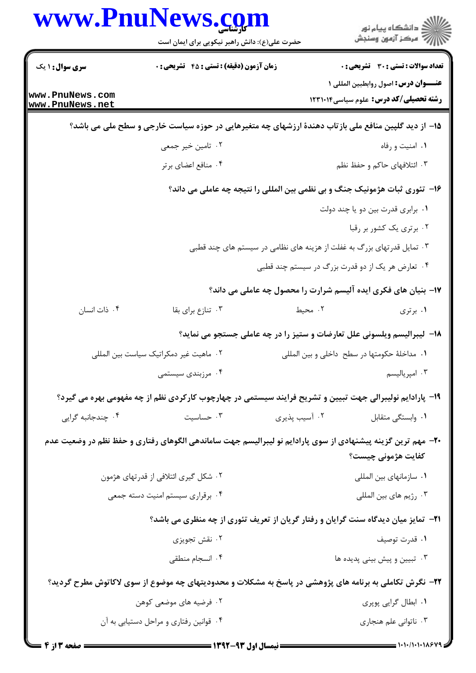|                                    | www.PnuNews.com                                                                                             |               | ڪ دانشڪاه پيا <sub>م</sub> نور<br>∕ مرڪز آزمون وسنڊش                                 |  |
|------------------------------------|-------------------------------------------------------------------------------------------------------------|---------------|--------------------------------------------------------------------------------------|--|
|                                    | حضرت علی(ع): دانش راهبر نیکویی برای ایمان است                                                               |               |                                                                                      |  |
| <b>سری سوال : ۱ یک</b>             | <b>زمان آزمون (دقیقه) : تستی : 45 تشریحی : 0</b>                                                            |               | <b>تعداد سوالات : تستی : 30 ٪ تشریحی : 0</b>                                         |  |
| www.PnuNews.com<br>www.PnuNews.net |                                                                                                             |               | عنـــوان درس: اصول روابطبين المللي ١<br><b>رشته تحصیلی/کد درس:</b> علوم سیاسی1۲۳۱۰۱۴ |  |
|                                    | ۱۵– از دید گلپین منافع ملی بازتاب دهندهٔ ارزشهای چه متغیرهایی در حوزه سیاست خارجی و سطح ملی می باشد؟        |               |                                                                                      |  |
|                                    | ۰۲ تامین خیر جمعی                                                                                           |               | ۰۱ امنیت و رفاه                                                                      |  |
|                                    | ۰۴ منافع اعضای برتر                                                                                         |               | ۰۳ ائتلافهای حاکم و حفظ نظم                                                          |  |
|                                    | ۱۶- تئوری ثبات هژمونیک جنگ و بی نظمی بین المللی را نتیجه چه عاملی می داند؟                                  |               |                                                                                      |  |
|                                    |                                                                                                             |               | ٠١. برابرى قدرت بين دو يا چند دولت                                                   |  |
|                                    |                                                                                                             |               | ۰۲ برتری یک کشور بر رقبا                                                             |  |
|                                    | ۰۳ تمایل قدرتهای بزرگ به غفلت از هزینه های نظامی در سیستم های چند قطبی                                      |               |                                                                                      |  |
|                                    |                                                                                                             |               | ۰۴ تعارض هر یک از دو قدرت بزرگ در سیستم چند قطبی                                     |  |
|                                    |                                                                                                             |               | ۱۷- بنیان های فکری ایده آلیسم شرارت را محصول چه عاملی می داند؟                       |  |
| ۰۴ ذات انسان                       | ۰۳ تنازع برای بقا                                                                                           | ۰۲ محیط       | ۰۱ برتری                                                                             |  |
|                                    | ۱۸– لیبرالیسم ویلسونی علل تعارضات و ستیز را در چه عاملی جستجو می نماید؟                                     |               |                                                                                      |  |
|                                    | ٠٢ ماهيت غير دمكراتيك سياست بين المللي                                                                      |               | ٠١. مداخلهٔ حکومتها در سطح  داخلي و بين المللي                                       |  |
|                                    | ۰۴ مرزبندی سیستمی                                                                                           |               | ۰۳ امپریالیسم                                                                        |  |
|                                    | ۱۹- پارادایم نولیبرالی جهت تبیین و تشریح فرایند سیستمی در چهارچوب کارکردی نظم از چه مفهومی بهره می گیرد؟    |               |                                                                                      |  |
| ۰۴ چندجانبه گرایی                  | ۰۳ حساسیت                                                                                                   | ۰۲ آسیب پذیری | ۰۱ وابستگی متقابل                                                                    |  |
|                                    | +۲- مهم ترین گزینه پیشنهادی از سوی پارادایم نو لیبرالیسم جهت ساماندهی الگوهای رفتاری و حفظ نظم در وضعیت عدم |               | كفايت هژموني چيست؟                                                                   |  |
|                                    | ۰۲ شکل گیری ائتلافی از قدرتهای هژمون                                                                        |               | ٠١ سازمانهاي بين المللي                                                              |  |
|                                    | ۰۴ برقراری سیستم امنیت دسته جمعی                                                                            |               | ۰۳ رژيم هاي بين المللي                                                               |  |
|                                    | <b>۲۱</b> - تمایز میان دیدگاه سنت گرایان و رفتار گریان از تعریف تئوری از چه منظری می باشد؟                  |               |                                                                                      |  |
|                                    | ۰۲ نقش تجویزی                                                                                               |               | ٠١ قدرت توصيف                                                                        |  |
|                                    | ۰۴ انسجام منطقی                                                                                             |               | ۰۳ تبیین و پیش بینی پدیده ها                                                         |  |
|                                    | ۲۲– نگرش تکاملی به برنامه های پژوهشی در پاسخ به مشکلات و محدودیتهای چه موضوع از سوی لاکاتوش مطرح گردید؟     |               |                                                                                      |  |
|                                    | ۲. فرضیه های موضعی کوهن                                                                                     |               | ۰۱ ابطال گرایی پوپری                                                                 |  |
|                                    | ۰۴ قوانین رفتاری و مراحل دستیابی به آن                                                                      |               | ۰۳ ناتوانی علم هنجاری                                                                |  |
|                                    |                                                                                                             |               |                                                                                      |  |

 $= 1.1 - 11.1 - 11.8$